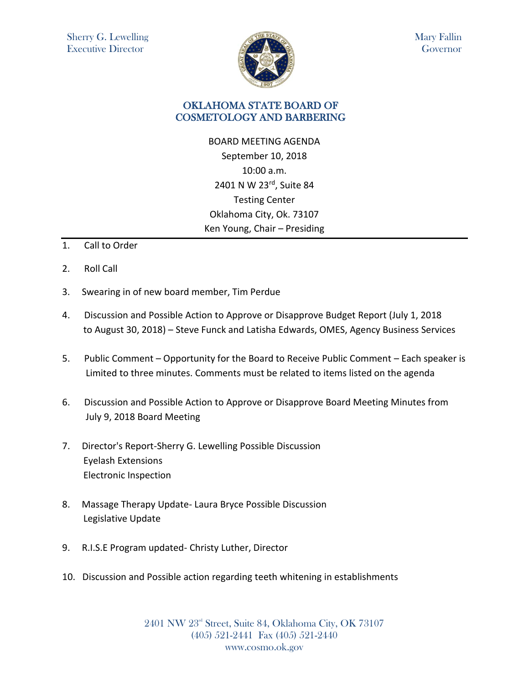

Mary Fallin Governor

## OKLAHOMA STATE BOARD OF COSMETOLOGY AND BARBERING

BOARD MEETING AGENDA September 10, 2018 10:00 a.m. 2401 N W 23rd, Suite 84 Testing Center Oklahoma City, Ok. 73107 Ken Young, Chair – Presiding

- 1. Call to Order
- 2. Roll Call
- 3. Swearing in of new board member, Tim Perdue
- 4. Discussion and Possible Action to Approve or Disapprove Budget Report (July 1, 2018 to August 30, 2018) – Steve Funck and Latisha Edwards, OMES, Agency Business Services
- 5. Public Comment Opportunity for the Board to Receive Public Comment Each speaker is Limited to three minutes. Comments must be related to items listed on the agenda
- 6. Discussion and Possible Action to Approve or Disapprove Board Meeting Minutes from July 9, 2018 Board Meeting
- 7. Director's Report-Sherry G. Lewelling Possible Discussion Eyelash Extensions Electronic Inspection
- 8. Massage Therapy Update- Laura Bryce Possible Discussion Legislative Update
- 9. R.I.S.E Program updated- Christy Luther, Director
- 10. Discussion and Possible action regarding teeth whitening in establishments

2401 NW 23rd Street, Suite 84, Oklahoma City, OK 73107 (405) 521-2441 Fax (405) 521-2440 www.cosmo.ok.gov